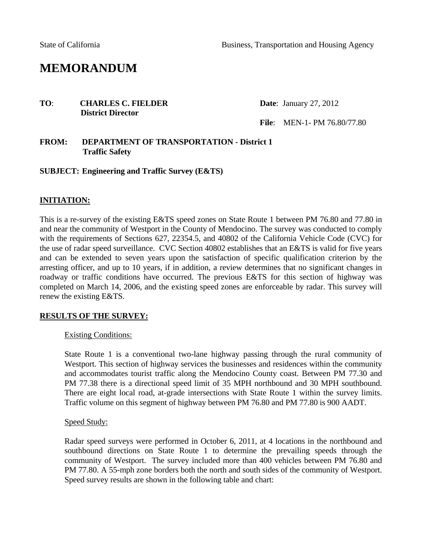# **MEMORANDUM**

### **TO: CHARLES C. FIELDER** Date: January 27, 2012 **District Director**

**File**: MEN-1- PM 76.80/77.80

### **FROM: DEPARTMENT OF TRANSPORTATION - District 1 Traffic Safety**

### **SUBJECT: Engineering and Traffic Survey (E&TS)**

### **INITIATION:**

This is a re-survey of the existing E&TS speed zones on State Route 1 between PM 76.80 and 77.80 in and near the community of Westport in the County of Mendocino. The survey was conducted to comply with the requirements of Sections 627, 22354.5, and 40802 of the California Vehicle Code (CVC) for the use of radar speed surveillance. CVC Section 40802 establishes that an E&TS is valid for five years and can be extended to seven years upon the satisfaction of specific qualification criterion by the arresting officer, and up to 10 years, if in addition, a review determines that no significant changes in roadway or traffic conditions have occurred. The previous E&TS for this section of highway was completed on March 14, 2006, and the existing speed zones are enforceable by radar. This survey will renew the existing E&TS.

### **RESULTS OF THE SURVEY:**

#### Existing Conditions:

State Route 1 is a conventional two-lane highway passing through the rural community of Westport. This section of highway services the businesses and residences within the community and accommodates tourist traffic along the Mendocino County coast. Between PM 77.30 and PM 77.38 there is a directional speed limit of 35 MPH northbound and 30 MPH southbound. There are eight local road, at-grade intersections with State Route 1 within the survey limits. Traffic volume on this segment of highway between PM 76.80 and PM 77.80 is 900 AADT.

### Speed Study:

Radar speed surveys were performed in October 6, 2011, at 4 locations in the northbound and southbound directions on State Route 1 to determine the prevailing speeds through the community of Westport. The survey included more than 400 vehicles between PM 76.80 and PM 77.80. A 55-mph zone borders both the north and south sides of the community of Westport. Speed survey results are shown in the following table and chart: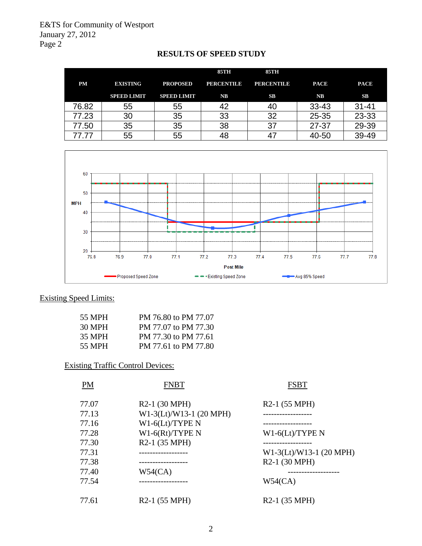|           |                    |                    | <b>85TH</b>    | 85TH              |               |             |
|-----------|--------------------|--------------------|----------------|-------------------|---------------|-------------|
| <b>PM</b> | <b>EXISTING</b>    | <b>PROPOSED</b>    | PERCENTILE     | <b>PERCENTILE</b> | <b>PACE</b>   | <b>PACE</b> |
|           | <b>SPEED LIMIT</b> | <b>SPEED LIMIT</b> | N <sub>B</sub> | SB                | $N\mathbf{B}$ | SB          |
| 76.82     | 55                 | 55                 | 42             | 40                | $33 - 43$     | $31 - 41$   |
| 77.23     | 30                 | 35                 | 33             | 32                | $25 - 35$     | 23-33       |
| 77.50     | 35                 | 35                 | 38             | 37                | 27-37         | 29-39       |
| 77.77     | 55                 | 55                 | 48             | 47                | 40-50         | 39-49       |





# Existing Speed Limits:

| 55 MPH | PM 76.80 to PM 77.07 |
|--------|----------------------|
| 30 MPH | PM 77.07 to PM 77.30 |
| 35 MPH | PM 77.30 to PM 77.61 |
| 55 MPH | PM 77.61 to PM 77.80 |

# Existing Traffic Control Devices:

| PM    | FNBT                       | <b>FSBT</b>                |
|-------|----------------------------|----------------------------|
| 77.07 | R <sub>2</sub> -1 (30 MPH) | R <sub>2</sub> -1 (55 MPH) |
| 77.13 | W1-3(Lt)/W13-1 (20 MPH)    |                            |
| 77.16 | $W1-6(Lt)/TYPE N$          |                            |
| 77.28 | $W1-6(Rt)/TYPE N$          | $W1-6(Lt)/TYPE N$          |
| 77.30 | R <sub>2</sub> -1 (35 MPH) | ----------------           |
| 77.31 |                            | W1-3(Lt)/W13-1 (20 MPH)    |
| 77.38 | -----------------          | R <sub>2</sub> -1 (30 MPH) |
| 77.40 | W54(CA)                    |                            |
| 77.54 |                            | W54(CA)                    |
| 77.61 | R <sub>2</sub> -1 (55 MPH) | R <sub>2</sub> -1 (35 MPH) |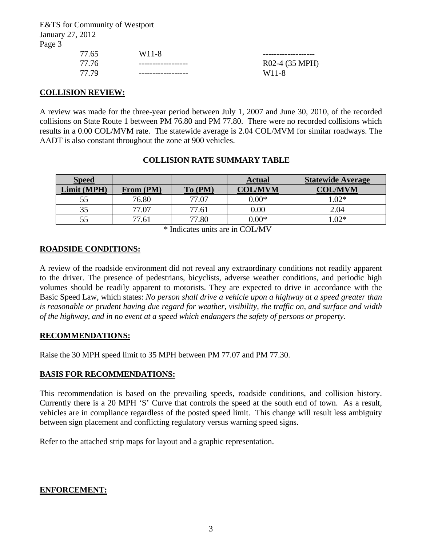E&TS for Community of Westport January 27, 2012 Page 3

| 77.65 | W <sub>11</sub> -8 |                    |
|-------|--------------------|--------------------|
| 77.76 |                    | R02-4 (35 MPH)     |
| 77.79 |                    | W <sub>11</sub> -8 |

### **COLLISION REVIEW:**

A review was made for the three-year period between July 1, 2007 and June 30, 2010, of the recorded collisions on State Route 1 between PM 76.80 and PM 77.80. There were no recorded collisions which results in a 0.00 COL/MVM rate. The statewide average is 2.04 COL/MVM for similar roadways. The AADT is also constant throughout the zone at 900 vehicles.

### **COLLISION RATE SUMMARY TABLE**

| <b>Speed</b> |           |         | <b>Actual</b>  | <b>Statewide Average</b> |
|--------------|-----------|---------|----------------|--------------------------|
| Limit (MPH)  | From (PM) | To (PM) | <b>COL/MVM</b> | <b>COL/MVM</b>           |
| 55           | 76.80     | 77.07   | $0.00*$        | $1.02*$                  |
| 35           | 77.07     | 77.61   | 0.00           | 2.04                     |
| 55           | 77.61     | 77.80   | $0.00*$        | $.02*$                   |
|              |           | .       | ---------      |                          |

\* Indicates units are in COL/MV

### **ROADSIDE CONDITIONS:**

A review of the roadside environment did not reveal any extraordinary conditions not readily apparent to the driver. The presence of pedestrians, bicyclists, adverse weather conditions, and periodic high volumes should be readily apparent to motorists. They are expected to drive in accordance with the Basic Speed Law, which states: *No person shall drive a vehicle upon a highway at a speed greater than is reasonable or prudent having due regard for weather, visibility, the traffic on, and surface and width of the highway, and in no event at a speed which endangers the safety of persons or property.*

### **RECOMMENDATIONS:**

Raise the 30 MPH speed limit to 35 MPH between PM 77.07 and PM 77.30.

### **BASIS FOR RECOMMENDATIONS:**

This recommendation is based on the prevailing speeds, roadside conditions, and collision history. Currently there is a 20 MPH 'S' Curve that controls the speed at the south end of town. As a result, vehicles are in compliance regardless of the posted speed limit. This change will result less ambiguity between sign placement and conflicting regulatory versus warning speed signs.

Refer to the attached strip maps for layout and a graphic representation.

### **ENFORCEMENT:**